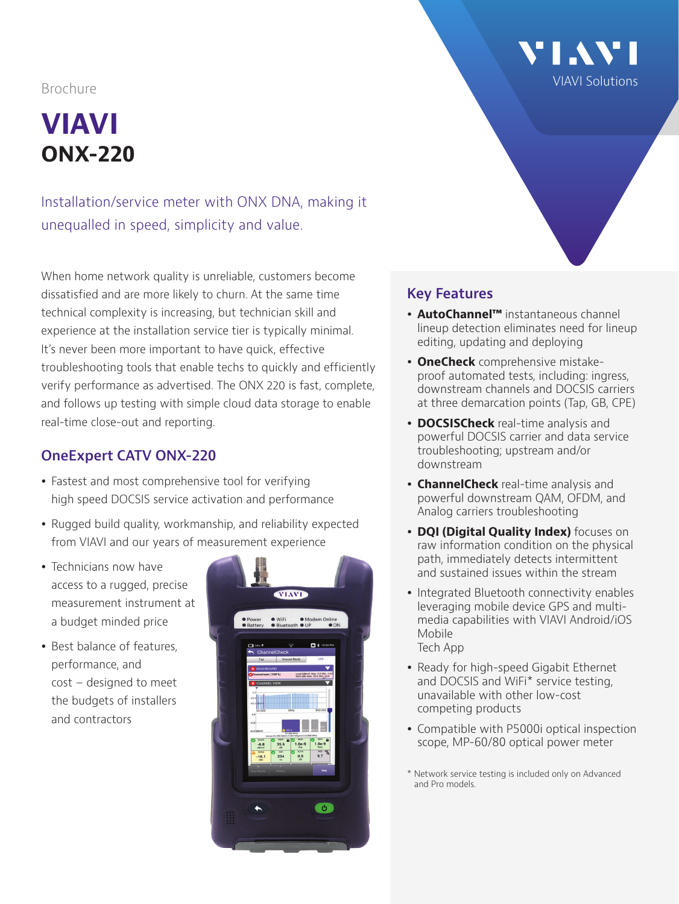## **VIAVI ONX-220**

Installation/service meter with ONX DNA, making it unequalled in speed, simplicity and value.

When home network quality is unreliable, customers become dissatisfied and are more likely to churn. At the same time technical complexity is increasing, but technician skill and experience at the installation service tier is typically minimal. It's never been more important to have quick, effective troubleshooting tools that enable techs to quickly and efficiently verify performance as advertised. The ONX 220 is fast, complete, and follows up testing with simple cloud data storage to enable real-time close-out and reporting.

#### **OneExpert CATV ONX-220**

- Fastest and most comprehensive tool for verifying high speed DOCSIS service activation and performance
- Rugged build quality, workmanship, and reliability expected from VIAVI and our years of measurement experience
- $\bullet$  Technicians now have access to a rugged, precise measurement instrument at a budget minded price
- Best balance of features, performance, and cost – designed to meet the budgets of installers and contractors



# **VI.VI** VIAVI Solutions Brochure

#### **Key Features**

- **AutoChannel™** instantaneous channel lineup detection eliminates need for lineup editing, updating and deploying
- **OneCheck** comprehensive mistakeproof automated tests, including: ingress, downstream channels and DOCSIS carriers at three demarcation points (Tap, GB, CPE)
- **DOCSISCheck** real-time analysis and powerful DOCSIS carrier and data service troubleshooting; upstream and/or downstream
- **ChannelCheck** real-time analysis and powerful downstream QAM, OFDM, and Analog carriers troubleshooting
- **DQI (Digital Quality Index)** focuses on raw information condition on the physical path, immediately detects intermittent and sustained issues within the stream
- Integrated Bluetooth connectivity enables leveraging mobile device GPS and multimedia capabilities with VIAVI Android/iOS Mobile Tech App
- Ready for high-speed Gigabit Ethernet and DOCSIS and WiFi\* service testing, unavailable with other low-cost competing products
- Compatible with P5000i optical inspection scope, MP-60/80 optical power meter
- \* Network service testing is included only on Advanced and Pro models.